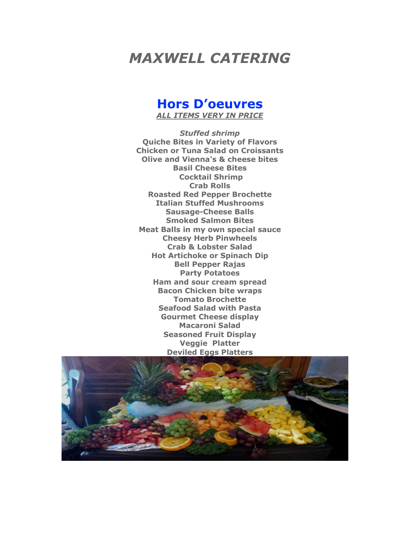# *MAXWELL CATERING*

# **Hors D'oeuvres** *ALL ITEMS VERY IN PRICE*

*Stuffed shrimp*  **Quiche Bites in Variety of Flavors Chicken or Tuna Salad on Croissants Olive and Vienna's & cheese bites Basil Cheese Bites Cocktail Shrimp Crab Rolls Roasted Red Pepper Brochette Italian Stuffed Mushrooms Sausage-Cheese Balls Smoked Salmon Bites Meat Balls in my own special sauce Cheesy Herb Pinwheels Crab & Lobster Salad Hot Artichoke or Spinach Dip Bell Pepper Rajas Party Potatoes Ham and sour cream spread Bacon Chicken bite wraps Tomato Brochette Seafood Salad with Pasta Gourmet Cheese display Macaroni Salad Seasoned Fruit Display Veggie Platter Deviled Eggs Platters**